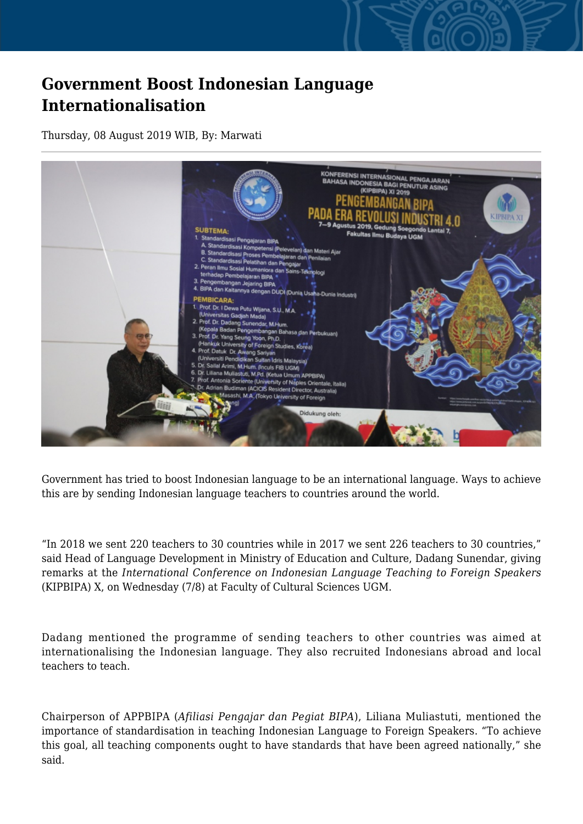## **Government Boost Indonesian Language Internationalisation**

Thursday, 08 August 2019 WIB, By: Marwati



Government has tried to boost Indonesian language to be an international language. Ways to achieve this are by sending Indonesian language teachers to countries around the world.

"In 2018 we sent 220 teachers to 30 countries while in 2017 we sent 226 teachers to 30 countries," said Head of Language Development in Ministry of Education and Culture, Dadang Sunendar, giving remarks at the *International Conference on Indonesian Language Teaching to Foreign Speakers* (KIPBIPA) X, on Wednesday (7/8) at Faculty of Cultural Sciences UGM.

Dadang mentioned the programme of sending teachers to other countries was aimed at internationalising the Indonesian language. They also recruited Indonesians abroad and local teachers to teach.

Chairperson of APPBIPA (*Afiliasi Pengajar dan Pegiat BIPA*), Liliana Muliastuti, mentioned the importance of standardisation in teaching Indonesian Language to Foreign Speakers. "To achieve this goal, all teaching components ought to have standards that have been agreed nationally," she said.